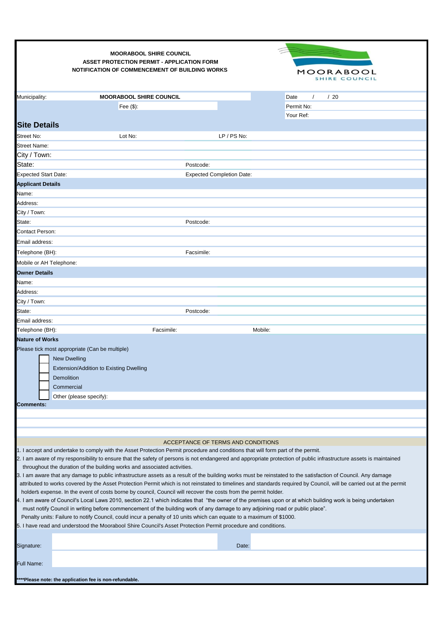| Municipality:<br><b>MOORABOOL SHIRE COUNCIL</b><br>/20<br>Date<br>$\prime$<br>Fee $($)$ :<br>Permit No:<br>Your Ref:<br><b>Site Details</b><br>LP / PS No:<br>Street No:<br>Lot No:<br>Street Name:<br>City / Town:<br>State:<br>Postcode:<br><b>Expected Start Date:</b><br><b>Expected Completion Date:</b><br><b>Applicant Details</b><br>Name:<br>Address:<br>City / Town:<br>State:<br>Postcode:<br>Contact Person:<br>Email address:<br>Telephone (BH):<br>Facsimile:<br>Mobile or AH Telephone:<br><b>Owner Details</b><br>Name:<br>Address:                                                                                                                                                                                                                                                                                                                                                                                                                                                                                                                                                                                                                                                                                                                                                                                                                                      |  |
|------------------------------------------------------------------------------------------------------------------------------------------------------------------------------------------------------------------------------------------------------------------------------------------------------------------------------------------------------------------------------------------------------------------------------------------------------------------------------------------------------------------------------------------------------------------------------------------------------------------------------------------------------------------------------------------------------------------------------------------------------------------------------------------------------------------------------------------------------------------------------------------------------------------------------------------------------------------------------------------------------------------------------------------------------------------------------------------------------------------------------------------------------------------------------------------------------------------------------------------------------------------------------------------------------------------------------------------------------------------------------------------|--|
|                                                                                                                                                                                                                                                                                                                                                                                                                                                                                                                                                                                                                                                                                                                                                                                                                                                                                                                                                                                                                                                                                                                                                                                                                                                                                                                                                                                          |  |
|                                                                                                                                                                                                                                                                                                                                                                                                                                                                                                                                                                                                                                                                                                                                                                                                                                                                                                                                                                                                                                                                                                                                                                                                                                                                                                                                                                                          |  |
|                                                                                                                                                                                                                                                                                                                                                                                                                                                                                                                                                                                                                                                                                                                                                                                                                                                                                                                                                                                                                                                                                                                                                                                                                                                                                                                                                                                          |  |
|                                                                                                                                                                                                                                                                                                                                                                                                                                                                                                                                                                                                                                                                                                                                                                                                                                                                                                                                                                                                                                                                                                                                                                                                                                                                                                                                                                                          |  |
|                                                                                                                                                                                                                                                                                                                                                                                                                                                                                                                                                                                                                                                                                                                                                                                                                                                                                                                                                                                                                                                                                                                                                                                                                                                                                                                                                                                          |  |
|                                                                                                                                                                                                                                                                                                                                                                                                                                                                                                                                                                                                                                                                                                                                                                                                                                                                                                                                                                                                                                                                                                                                                                                                                                                                                                                                                                                          |  |
|                                                                                                                                                                                                                                                                                                                                                                                                                                                                                                                                                                                                                                                                                                                                                                                                                                                                                                                                                                                                                                                                                                                                                                                                                                                                                                                                                                                          |  |
|                                                                                                                                                                                                                                                                                                                                                                                                                                                                                                                                                                                                                                                                                                                                                                                                                                                                                                                                                                                                                                                                                                                                                                                                                                                                                                                                                                                          |  |
|                                                                                                                                                                                                                                                                                                                                                                                                                                                                                                                                                                                                                                                                                                                                                                                                                                                                                                                                                                                                                                                                                                                                                                                                                                                                                                                                                                                          |  |
|                                                                                                                                                                                                                                                                                                                                                                                                                                                                                                                                                                                                                                                                                                                                                                                                                                                                                                                                                                                                                                                                                                                                                                                                                                                                                                                                                                                          |  |
|                                                                                                                                                                                                                                                                                                                                                                                                                                                                                                                                                                                                                                                                                                                                                                                                                                                                                                                                                                                                                                                                                                                                                                                                                                                                                                                                                                                          |  |
|                                                                                                                                                                                                                                                                                                                                                                                                                                                                                                                                                                                                                                                                                                                                                                                                                                                                                                                                                                                                                                                                                                                                                                                                                                                                                                                                                                                          |  |
|                                                                                                                                                                                                                                                                                                                                                                                                                                                                                                                                                                                                                                                                                                                                                                                                                                                                                                                                                                                                                                                                                                                                                                                                                                                                                                                                                                                          |  |
|                                                                                                                                                                                                                                                                                                                                                                                                                                                                                                                                                                                                                                                                                                                                                                                                                                                                                                                                                                                                                                                                                                                                                                                                                                                                                                                                                                                          |  |
|                                                                                                                                                                                                                                                                                                                                                                                                                                                                                                                                                                                                                                                                                                                                                                                                                                                                                                                                                                                                                                                                                                                                                                                                                                                                                                                                                                                          |  |
|                                                                                                                                                                                                                                                                                                                                                                                                                                                                                                                                                                                                                                                                                                                                                                                                                                                                                                                                                                                                                                                                                                                                                                                                                                                                                                                                                                                          |  |
|                                                                                                                                                                                                                                                                                                                                                                                                                                                                                                                                                                                                                                                                                                                                                                                                                                                                                                                                                                                                                                                                                                                                                                                                                                                                                                                                                                                          |  |
|                                                                                                                                                                                                                                                                                                                                                                                                                                                                                                                                                                                                                                                                                                                                                                                                                                                                                                                                                                                                                                                                                                                                                                                                                                                                                                                                                                                          |  |
|                                                                                                                                                                                                                                                                                                                                                                                                                                                                                                                                                                                                                                                                                                                                                                                                                                                                                                                                                                                                                                                                                                                                                                                                                                                                                                                                                                                          |  |
|                                                                                                                                                                                                                                                                                                                                                                                                                                                                                                                                                                                                                                                                                                                                                                                                                                                                                                                                                                                                                                                                                                                                                                                                                                                                                                                                                                                          |  |
| City / Town:                                                                                                                                                                                                                                                                                                                                                                                                                                                                                                                                                                                                                                                                                                                                                                                                                                                                                                                                                                                                                                                                                                                                                                                                                                                                                                                                                                             |  |
| State:<br>Postcode:                                                                                                                                                                                                                                                                                                                                                                                                                                                                                                                                                                                                                                                                                                                                                                                                                                                                                                                                                                                                                                                                                                                                                                                                                                                                                                                                                                      |  |
| Email address:                                                                                                                                                                                                                                                                                                                                                                                                                                                                                                                                                                                                                                                                                                                                                                                                                                                                                                                                                                                                                                                                                                                                                                                                                                                                                                                                                                           |  |
| Mobile:<br>Telephone (BH):<br>Facsimile:                                                                                                                                                                                                                                                                                                                                                                                                                                                                                                                                                                                                                                                                                                                                                                                                                                                                                                                                                                                                                                                                                                                                                                                                                                                                                                                                                 |  |
| <b>Nature of Works</b><br>Please tick most appropriate (Can be multiple)<br><b>New Dwelling</b><br>Extension/Addition to Existing Dwelling<br>Demolition<br>Commercial                                                                                                                                                                                                                                                                                                                                                                                                                                                                                                                                                                                                                                                                                                                                                                                                                                                                                                                                                                                                                                                                                                                                                                                                                   |  |
| Other (please specify):<br><b>Comments:</b>                                                                                                                                                                                                                                                                                                                                                                                                                                                                                                                                                                                                                                                                                                                                                                                                                                                                                                                                                                                                                                                                                                                                                                                                                                                                                                                                              |  |
|                                                                                                                                                                                                                                                                                                                                                                                                                                                                                                                                                                                                                                                                                                                                                                                                                                                                                                                                                                                                                                                                                                                                                                                                                                                                                                                                                                                          |  |
|                                                                                                                                                                                                                                                                                                                                                                                                                                                                                                                                                                                                                                                                                                                                                                                                                                                                                                                                                                                                                                                                                                                                                                                                                                                                                                                                                                                          |  |
|                                                                                                                                                                                                                                                                                                                                                                                                                                                                                                                                                                                                                                                                                                                                                                                                                                                                                                                                                                                                                                                                                                                                                                                                                                                                                                                                                                                          |  |
| ACCEPTANCE OF TERMS AND CONDITIONS                                                                                                                                                                                                                                                                                                                                                                                                                                                                                                                                                                                                                                                                                                                                                                                                                                                                                                                                                                                                                                                                                                                                                                                                                                                                                                                                                       |  |
| 1. I accept and undertake to comply with the Asset Protection Permit procedure and conditions that will form part of the permit.<br>2. I am aware of my responsibility to ensure that the safety of persons is not endangered and appropriate protection of public infrastructure assets is maintained<br>throughout the duration of the building works and associated activities.<br>3. I am aware that any damage to public infrastructure assets as a result of the building works must be reinstated to the satisfaction of Council. Any damage<br>attributed to works covered by the Asset Protection Permit which is not reinstated to timelines and standards required by Council, will be carried out at the permit<br>holder's expense. In the event of costs borne by council, Council will recover the costs from the permit holder.<br>4. I am aware of Council's Local Laws 2010, section 22.1 which indicates that "the owner of the premises upon or at which building work is being undertaken<br>must notify Council in writing before commencement of the building work of any damage to any adjoining road or public place".<br>Penalty units: Failure to notify Council, could incur a penalty of 10 units which can equate to a maximum of \$1000.<br>5. I have read and understood the Moorabool Shire Council's Asset Protection Permit procedure and conditions. |  |
| Signature:<br>Date:                                                                                                                                                                                                                                                                                                                                                                                                                                                                                                                                                                                                                                                                                                                                                                                                                                                                                                                                                                                                                                                                                                                                                                                                                                                                                                                                                                      |  |
|                                                                                                                                                                                                                                                                                                                                                                                                                                                                                                                                                                                                                                                                                                                                                                                                                                                                                                                                                                                                                                                                                                                                                                                                                                                                                                                                                                                          |  |
| Full Name:<br>****Please note: the application fee is non-refundable.                                                                                                                                                                                                                                                                                                                                                                                                                                                                                                                                                                                                                                                                                                                                                                                                                                                                                                                                                                                                                                                                                                                                                                                                                                                                                                                    |  |